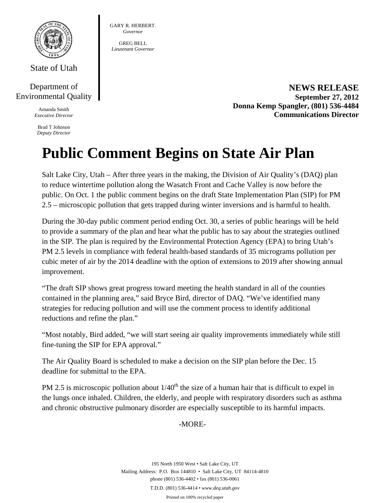

State of Utah

# Department of Environmental Quality

Amanda Smith *Executive Director* 

Brad T Johnson *Deputy Director*  GARY R. HERBERT. *Governor* 

GREG BELL *Lieutenant Governor* 

> **NEWS RELEASE September 27, 2012 Donna Kemp Spangler, (801) 536-4484 Communications Director**

# **Public Comment Begins on State Air Plan**

Salt Lake City, Utah – After three years in the making, the Division of Air Quality's (DAQ) plan to reduce wintertime pollution along the Wasatch Front and Cache Valley is now before the public. On Oct. 1 the public comment begins on the draft State Implementation Plan (SIP) for PM 2.5 – microscopic pollution that gets trapped during winter inversions and is harmful to health.

During the 30-day public comment period ending Oct. 30, a series of public hearings will be held to provide a summary of the plan and hear what the public has to say about the strategies outlined in the SIP. The plan is required by the Environmental Protection Agency (EPA) to bring Utah's PM 2.5 levels in compliance with federal health-based standards of 35 micrograms pollution per cubic meter of air by the 2014 deadline with the option of extensions to 2019 after showing annual improvement.

"The draft SIP shows great progress toward meeting the health standard in all of the counties contained in the planning area," said Bryce Bird, director of DAQ. "We've identified many strategies for reducing pollution and will use the comment process to identify additional reductions and refine the plan."

"Most notably, Bird added, "we will start seeing air quality improvements immediately while still fine-tuning the SIP for EPA approval."

The Air Quality Board is scheduled to make a decision on the SIP plan before the Dec. 15 deadline for submittal to the EPA.

PM 2.5 is microscopic pollution about  $1/40<sup>th</sup>$  the size of a human hair that is difficult to expel in the lungs once inhaled. Children, the elderly, and people with respiratory disorders such as asthma and chronic obstructive pulmonary disorder are especially susceptible to its harmful impacts.

# -MORE-

195 North 1950 West • Salt Lake City, UT Mailing Address: P.O. Box 144810 • Salt Lake City, UT 84114-4810 phone (801) 536-4402 • fax (801) 536-0061 T.D.D. (801) 536-4414 • *www.deq.utah.gov* 

Printed on 100% recycled paper